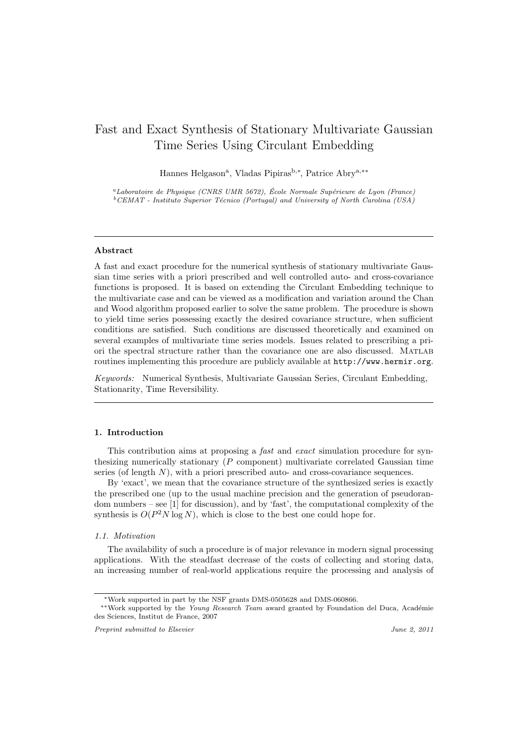# Fast and Exact Synthesis of Stationary Multivariate Gaussian Time Series Using Circulant Embedding

Hannes Helgason<sup>a</sup>, Vladas Pipiras<sup>b,∗</sup>, Patrice Abry<sup>a,∗∗</sup>

*<sup>a</sup>Laboratoire de Physique (CNRS UMR 5672), Ecole Normale Sup´erieure de Lyon (France) ´* <sup>*b*</sup>CEMAT - Instituto Superior Técnico (Portugal) and University of North Carolina (USA)

## Abstract

A fast and exact procedure for the numerical synthesis of stationary multivariate Gaussian time series with a priori prescribed and well controlled auto- and cross-covariance functions is proposed. It is based on extending the Circulant Embedding technique to the multivariate case and can be viewed as a modification and variation around the Chan and Wood algorithm proposed earlier to solve the same problem. The procedure is shown to yield time series possessing exactly the desired covariance structure, when sufficient conditions are satisfied. Such conditions are discussed theoretically and examined on several examples of multivariate time series models. Issues related to prescribing a priori the spectral structure rather than the covariance one are also discussed. Matlab routines implementing this procedure are publicly available at http://www.hermir.org.

Keywords: Numerical Synthesis, Multivariate Gaussian Series, Circulant Embedding, Stationarity, Time Reversibility.

## 1. Introduction

This contribution aims at proposing a fast and exact simulation procedure for synthesizing numerically stationary (P component) multivariate correlated Gaussian time series (of length  $N$ ), with a priori prescribed auto- and cross-covariance sequences.

By 'exact', we mean that the covariance structure of the synthesized series is exactly the prescribed one (up to the usual machine precision and the generation of pseudorandom numbers – see [1] for discussion), and by 'fast', the computational complexity of the synthesis is  $O(P^2N \log N)$ , which is close to the best one could hope for.

#### 1.1. Motivation

The availability of such a procedure is of major relevance in modern signal processing applications. With the steadfast decrease of the costs of collecting and storing data, an increasing number of real-world applications require the processing and analysis of

<sup>∗</sup>Work supported in part by the NSF grants DMS-0505628 and DMS-060866.

<sup>&</sup>lt;sup>∗</sup>\*Work supported by the *Young Research Team* award granted by Foundation del Duca, Académie des Sciences, Institut de France, 2007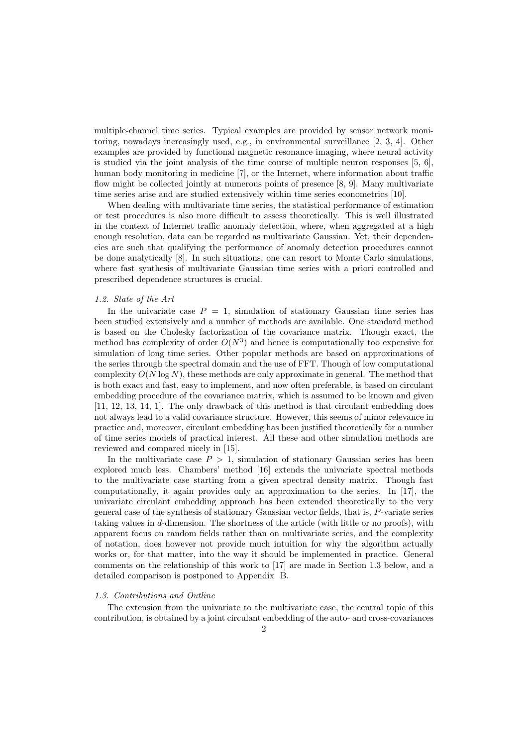multiple-channel time series. Typical examples are provided by sensor network monitoring, nowadays increasingly used, e.g., in environmental surveillance [2, 3, 4]. Other examples are provided by functional magnetic resonance imaging, where neural activity is studied via the joint analysis of the time course of multiple neuron responses  $[5, 6]$ , human body monitoring in medicine [7], or the Internet, where information about traffic flow might be collected jointly at numerous points of presence [8, 9]. Many multivariate time series arise and are studied extensively within time series econometrics [10].

When dealing with multivariate time series, the statistical performance of estimation or test procedures is also more difficult to assess theoretically. This is well illustrated in the context of Internet traffic anomaly detection, where, when aggregated at a high enough resolution, data can be regarded as multivariate Gaussian. Yet, their dependencies are such that qualifying the performance of anomaly detection procedures cannot be done analytically [8]. In such situations, one can resort to Monte Carlo simulations, where fast synthesis of multivariate Gaussian time series with a priori controlled and prescribed dependence structures is crucial.

#### 1.2. State of the Art

In the univariate case  $P = 1$ , simulation of stationary Gaussian time series has been studied extensively and a number of methods are available. One standard method is based on the Cholesky factorization of the covariance matrix. Though exact, the method has complexity of order  $O(N^3)$  and hence is computationally too expensive for simulation of long time series. Other popular methods are based on approximations of the series through the spectral domain and the use of FFT. Though of low computational complexity  $O(N \log N)$ , these methods are only approximate in general. The method that is both exact and fast, easy to implement, and now often preferable, is based on circulant embedding procedure of the covariance matrix, which is assumed to be known and given [11, 12, 13, 14, 1]. The only drawback of this method is that circulant embedding does not always lead to a valid covariance structure. However, this seems of minor relevance in practice and, moreover, circulant embedding has been justified theoretically for a number of time series models of practical interest. All these and other simulation methods are reviewed and compared nicely in [15].

In the multivariate case  $P > 1$ , simulation of stationary Gaussian series has been explored much less. Chambers' method [16] extends the univariate spectral methods to the multivariate case starting from a given spectral density matrix. Though fast computationally, it again provides only an approximation to the series. In [17], the univariate circulant embedding approach has been extended theoretically to the very general case of the synthesis of stationary Gaussian vector fields, that is, P-variate series taking values in d-dimension. The shortness of the article (with little or no proofs), with apparent focus on random fields rather than on multivariate series, and the complexity of notation, does however not provide much intuition for why the algorithm actually works or, for that matter, into the way it should be implemented in practice. General comments on the relationship of this work to [17] are made in Section 1.3 below, and a detailed comparison is postponed to Appendix B.

## 1.3. Contributions and Outline

The extension from the univariate to the multivariate case, the central topic of this contribution, is obtained by a joint circulant embedding of the auto- and cross-covariances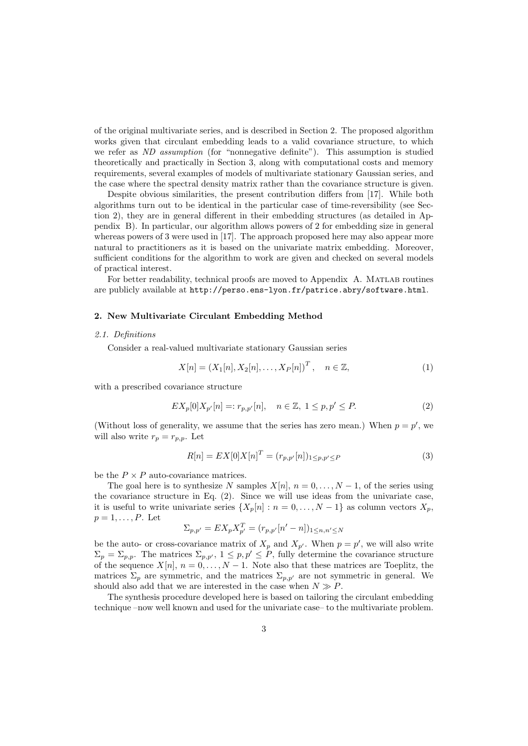of the original multivariate series, and is described in Section 2. The proposed algorithm works given that circulant embedding leads to a valid covariance structure, to which we refer as ND assumption (for "nonnegative definite"). This assumption is studied theoretically and practically in Section 3, along with computational costs and memory requirements, several examples of models of multivariate stationary Gaussian series, and the case where the spectral density matrix rather than the covariance structure is given.

Despite obvious similarities, the present contribution differs from [17]. While both algorithms turn out to be identical in the particular case of time-reversibility (see Section 2), they are in general different in their embedding structures (as detailed in Appendix B). In particular, our algorithm allows powers of 2 for embedding size in general whereas powers of 3 were used in [17]. The approach proposed here may also appear more natural to practitioners as it is based on the univariate matrix embedding. Moreover, sufficient conditions for the algorithm to work are given and checked on several models of practical interest.

For better readability, technical proofs are moved to Appendix A. MATLAB routines are publicly available at http://perso.ens-lyon.fr/patrice.abry/software.html.

## 2. New Multivariate Circulant Embedding Method

#### 2.1. Definitions

Consider a real-valued multivariate stationary Gaussian series

$$
X[n] = (X_1[n], X_2[n], \dots, X_P[n])^T, \quad n \in \mathbb{Z},
$$
 (1)

with a prescribed covariance structure

$$
EX_p[0]X_{p'}[n] =: r_{p,p'}[n], \quad n \in \mathbb{Z}, \ 1 \le p, p' \le P. \tag{2}
$$

(Without loss of generality, we assume that the series has zero mean.) When  $p = p'$ , we will also write  $r_p = r_{p,p}$ . Let

$$
R[n] = EX[0]X[n]^T = (r_{p,p'}[n])_{1 \le p,p' \le P}
$$
\n(3)

be the  $P \times P$  auto-covariance matrices.

The goal here is to synthesize N samples  $X[n], n = 0, \ldots, N-1$ , of the series using the covariance structure in Eq. (2). Since we will use ideas from the univariate case, it is useful to write univariate series  $\{X_p[n] : n = 0, \ldots, N-1\}$  as column vectors  $X_p$ ,  $p=1,\ldots,P.$  Let

$$
\Sigma_{p,p'} = EX_p X_{p'}^T = (r_{p,p'}[n'-n])_{1 \le n,n' \le N}
$$

be the auto- or cross-covariance matrix of  $X_p$  and  $X_{p'}$ . When  $p = p'$ , we will also write  $\Sigma_p = \Sigma_{p,p}$ . The matrices  $\Sigma_{p,p'}$ ,  $1 \leq p, p' \leq P$ , fully determine the covariance structure of the sequence  $X[n], n = 0, \ldots, N-1$ . Note also that these matrices are Toeplitz, the matrices  $\Sigma_p$  are symmetric, and the matrices  $\Sigma_{p,p'}$  are not symmetric in general. We should also add that we are interested in the case when  $N \gg P$ .

The synthesis procedure developed here is based on tailoring the circulant embedding technique –now well known and used for the univariate case– to the multivariate problem.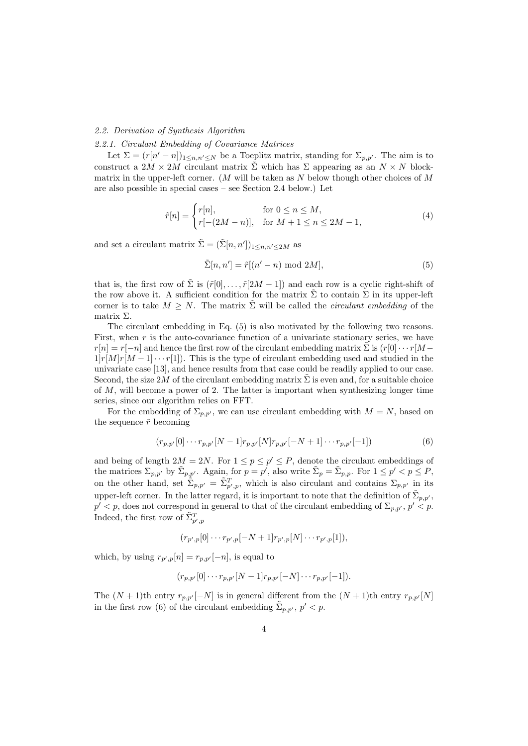## 2.2. Derivation of Synthesis Algorithm

## 2.2.1. Circulant Embedding of Covariance Matrices

Let  $\Sigma = (r[n'-n])_{1 \leq n,n' \leq N}$  be a Toeplitz matrix, standing for  $\Sigma_{p,p'}$ . The aim is to construct a  $2M \times 2M$  circulant matrix  $\Sigma$  which has  $\Sigma$  appearing as an  $N \times N$  blockmatrix in the upper-left corner. (M will be taken as  $N$  below though other choices of  $M$ are also possible in special cases – see Section 2.4 below.) Let

$$
\tilde{r}[n] = \begin{cases} r[n], & \text{for } 0 \le n \le M, \\ r[-(2M - n)], & \text{for } M + 1 \le n \le 2M - 1, \end{cases}
$$
\n(4)

and set a circulant matrix  $\tilde{\Sigma} = (\tilde{\Sigma}[n, n'])_{1 \leq n, n' \leq 2M}$  as

$$
\tilde{\Sigma}[n, n'] = \tilde{r}[(n'-n) \text{ mod } 2M],\tag{5}
$$

that is, the first row of  $\sum$  is  $(\tilde{r}[0], \ldots, \tilde{r}[2M-1])$  and each row is a cyclic right-shift of the row above it. A sufficient condition for the matrix  $\Sigma$  to contain  $\Sigma$  in its upper-left corner is to take  $M \geq N$ . The matrix  $\sum$  will be called the *circulant embedding* of the matrix Σ.

The circulant embedding in Eq. (5) is also motivated by the following two reasons. First, when  $r$  is the auto-covariance function of a univariate stationary series, we have  $r[n] = r[-n]$  and hence the first row of the circulant embedding matrix  $\Sigma$  is  $(r[0] \cdots r[M-1]]$  $1|r[M]r[M-1]\cdots r[1]$ . This is the type of circulant embedding used and studied in the univariate case [13], and hence results from that case could be readily applied to our case. Second, the size 2M of the circulant embedding matrix  $\Sigma$  is even and, for a suitable choice of M, will become a power of 2. The latter is important when synthesizing longer time series, since our algorithm relies on FFT.

For the embedding of  $\Sigma_{p,p'}$ , we can use circulant embedding with  $M = N$ , based on the sequence  $\tilde{r}$  becoming

$$
(r_{p,p'}[0] \cdots r_{p,p'}[N-1]r_{p,p'}[N]r_{p,p'}[-N+1] \cdots r_{p,p'}[-1])
$$
\n(6)

and being of length  $2M = 2N$ . For  $1 \le p \le p' \le P$ , denote the circulant embeddings of the matrices  $\Sigma_{p,p'}$  by  $\tilde{\Sigma}_{p,p'}$ . Again, for  $p=p'$ , also write  $\tilde{\Sigma}_p=\tilde{\Sigma}_{p,p}$ . For  $1 \leq p' < p \leq P$ , on the other hand, set  $\tilde{\Sigma}_{p,p'} = \tilde{\Sigma}_{p',p}^T$ , which is also circulant and contains  $\Sigma_{p,p'}$  in its upper-left corner. In the latter regard, it is important to note that the definition of  $\tilde{\Sigma}_{p,p'}$ ,  $p' < p$ , does not correspond in general to that of the circulant embedding of  $\Sigma_{p,p'}$ ,  $p' < p$ . Indeed, the first row of  $\tilde{\Sigma}_{p',p}^T$ 

$$
(r_{p',p}[0]\cdots r_{p',p}[-N+1]r_{p',p}[N]\cdots r_{p',p}[1]),
$$

which, by using  $r_{p',p}[n] = r_{p,p'}[-n]$ , is equal to

$$
(r_{p,p'}[0]\cdots r_{p,p'}[N-1]r_{p,p'}[-N]\cdots r_{p,p'}[-1]).
$$

The  $(N + 1)$ th entry  $r_{p,p'}[-N]$  is in general different from the  $(N + 1)$ th entry  $r_{p,p'}[N]$ in the first row (6) of the circulant embedding  $\tilde{\Sigma}_{p,p'}$ ,  $p' < p$ .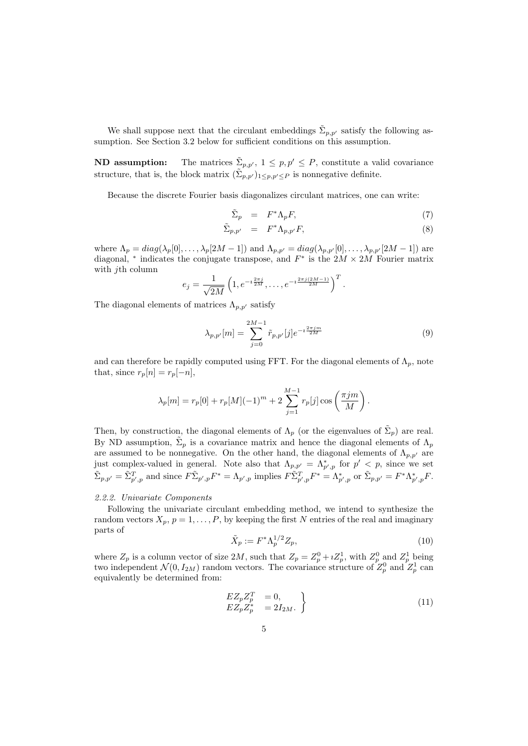We shall suppose next that the circulant embeddings  $\tilde{\Sigma}_{p,p'}$  satisfy the following assumption. See Section 3.2 below for sufficient conditions on this assumption.

**ND** assumption: The matrices  $\tilde{\Sigma}_{p,p'}$ ,  $1 \leq p, p' \leq P$ , constitute a valid covariance structure, that is, the block matrix  $(\Sigma_{p,p'})_{1 \leq p,p' \leq P}$  is nonnegative definite.

Because the discrete Fourier basis diagonalizes circulant matrices, one can write:

$$
\tilde{\Sigma}_p = F^* \Lambda_p F,\tag{7}
$$

$$
\tilde{\Sigma}_{p,p'} = F^* \Lambda_{p,p'} F,\tag{8}
$$

where  $\Lambda_p = diag(\lambda_p[0], \ldots, \lambda_p[2M-1])$  and  $\Lambda_{p,p'} = diag(\lambda_{p,p'}[0], \ldots, \lambda_{p,p'}[2M-1])$  are diagonal, \* indicates the conjugate transpose, and  $F^*$  is the  $2M \times 2\hat{M}$  Fourier matrix with  $j$ th column

$$
e_j = \frac{1}{\sqrt{2M}} \left( 1, e^{-i \frac{2\pi j}{2M}}, \dots, e^{-i \frac{2\pi j (2M-1)}{2M}} \right)^T.
$$

The diagonal elements of matrices  $\Lambda_{p,p'}$  satisfy

$$
\lambda_{p,p'}[m] = \sum_{j=0}^{2M-1} \tilde{r}_{p,p'}[j] e^{-i\frac{2\pi jm}{2M}} \tag{9}
$$

and can therefore be rapidly computed using FFT. For the diagonal elements of  $\Lambda_p$ , note that, since  $r_p[n] = r_p[-n]$ ,

$$
\lambda_p[m] = r_p[0] + r_p[M](-1)^m + 2 \sum_{j=1}^{M-1} r_p[j] \cos\left(\frac{\pi j m}{M}\right).
$$

Then, by construction, the diagonal elements of  $\Lambda_p$  (or the eigenvalues of  $\tilde{\Sigma}_p$ ) are real. By ND assumption,  $\tilde{\Sigma}_p$  is a covariance matrix and hence the diagonal elements of  $\Lambda_p$ are assumed to be nonnegative. On the other hand, the diagonal elements of  $\Lambda_{p,p'}$  are just complex-valued in general. Note also that  $\Lambda_{p,p'} = \Lambda_{p',p}^*$  for  $p' < p$ , since we set  $\tilde{\Sigma}_{p,p'} = \tilde{\Sigma}_{p',p}^T$  and since  $F \tilde{\Sigma}_{p',p}^F F^* = \Lambda_{p',p}$  implies  $F \tilde{\Sigma}_{p',p}^T F^* = \Lambda_{p',p}^*$  or  $\tilde{\Sigma}_{p,p'} = F^* \Lambda_{p',p}^F F^*$ .

## 2.2.2. Univariate Components

Following the univariate circulant embedding method, we intend to synthesize the random vectors  $X_p$ ,  $p = 1, \ldots, P$ , by keeping the first N entries of the real and imaginary parts of

$$
\tilde{X}_p := F^* \Lambda_p^{1/2} Z_p,\tag{10}
$$

where  $Z_p$  is a column vector of size  $2M$ , such that  $Z_p = Z_p^0 + iZ_p^1$ , with  $Z_p^0$  and  $Z_p^1$  being two independent  $\mathcal{N}(0, I_{2M})$  random vectors. The covariance structure of  $Z_p^0$  and  $Z_p^1$  can equivalently be determined from:

$$
\begin{array}{rcl}\nEZ_p Z_p^T & = 0, \\
EZ_p Z_p^* & = 2I_{2M}.\n\end{array}\n\tag{11}
$$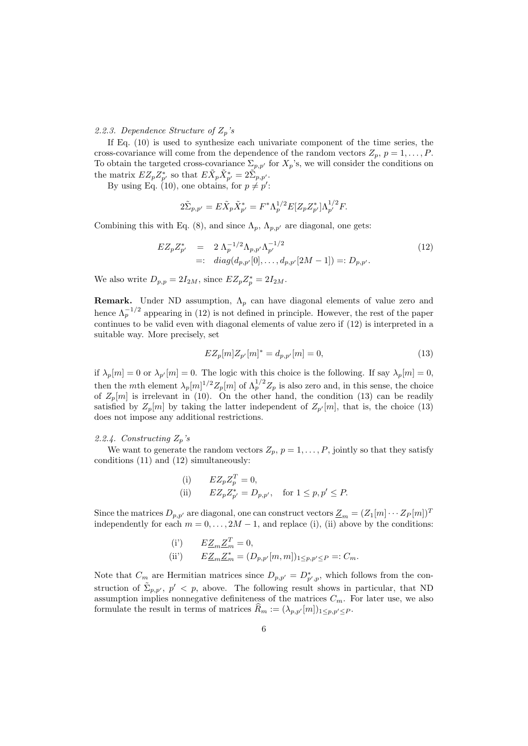## 2.2.3. Dependence Structure of  $Z_p$ 's

If Eq. (10) is used to synthesize each univariate component of the time series, the cross-covariance will come from the dependence of the random vectors  $Z_p$ ,  $p = 1, \ldots, P$ . To obtain the targeted cross-covariance  $\Sigma_{p,p'}$  for  $X_p$ 's, we will consider the conditions on the matrix  $EZ_pZ_{p'}^*$  so that  $E\tilde{X}_p\tilde{X}_{p'}^* = 2\tilde{\Sigma}_{p,p'}.$ 

By using Eq. (10), one obtains, for  $p \neq p'$ :

$$
2\tilde{\Sigma}_{p,p'} = E\tilde{X}_p \tilde{X}_{p'}^* = F^* \Lambda_p^{1/2} E[Z_p Z_{p'}^*] \Lambda_{p'}^{1/2} F.
$$

Combining this with Eq. (8), and since  $\Lambda_p$ ,  $\Lambda_{p,p'}$  are diagonal, one gets:

$$
EZ_p Z_{p'}^* = 2 \Lambda_p^{-1/2} \Lambda_{p,p'} \Lambda_{p'}^{-1/2}
$$
  
=: diag(d\_{p,p'}[0], ..., d\_{p,p'}[2M-1]) =: D\_{p,p'}. (12)

We also write  $D_{p,p} = 2I_{2M}$ , since  $EZ_pZ_p^* = 2I_{2M}$ .

**Remark.** Under ND assumption,  $\Lambda_p$  can have diagonal elements of value zero and hence  $\Lambda_p^{-1/2}$  appearing in (12) is not defined in principle. However, the rest of the paper continues to be valid even with diagonal elements of value zero if (12) is interpreted in a suitable way. More precisely, set

$$
EZ_p[m]Z_{p'}[m]^* = d_{p,p'}[m] = 0,
$$
\n(13)

if  $\lambda_p[m] = 0$  or  $\lambda_{p'}[m] = 0$ . The logic with this choice is the following. If say  $\lambda_p[m] = 0$ , then the mth element  $\lambda_p[m]^{1/2}Z_p[m]$  of  $\Lambda_p^{1/2}Z_p$  is also zero and, in this sense, the choice of  $Z_p[m]$  is irrelevant in (10). On the other hand, the condition (13) can be readily satisfied by  $Z_p[m]$  by taking the latter independent of  $Z_{p'}[m]$ , that is, the choice (13) does not impose any additional restrictions.

#### 2.2.4. Constructing  $Z_p$ 's

We want to generate the random vectors  $Z_p$ ,  $p = 1, \ldots, P$ , jointly so that they satisfy conditions (11) and (12) simultaneously:

(i) 
$$
EZ_p Z_p^T = 0,
$$
  
\n(ii) 
$$
EZ_p Z_{p'}^* = D_{p,p'}, \text{ for } 1 \le p, p' \le P.
$$

Since the matrices  $D_{p,p'}$  are diagonal, one can construct vectors  $\underline{Z}_m = (Z_1[m] \cdots Z_P[m])^T$ independently for each  $m = 0, \ldots, 2M - 1$ , and replace (i), (ii) above by the conditions:

(i') 
$$
E\underline{Z}_m \underline{Z}_m^T = 0,
$$
  
(ii')  $E\underline{Z}_m \underline{Z}_m^* = (D_{p,p'}[m,m])_{1 \le p,p' \le P} =: C_m.$ 

Note that  $C_m$  are Hermitian matrices since  $D_{p,p'} = D^*_{p',p}$ , which follows from the construction of  $\tilde{\Sigma}_{p,p'}$ ,  $p' < p$ , above. The following result shows in particular, that ND assumption implies nonnegative definiteness of the matrices  $C_m$ . For later use, we also formulate the result in terms of matrices  $R_m := (\lambda_{p,p'}[m])_{1 \leq p,p' \leq P}$ .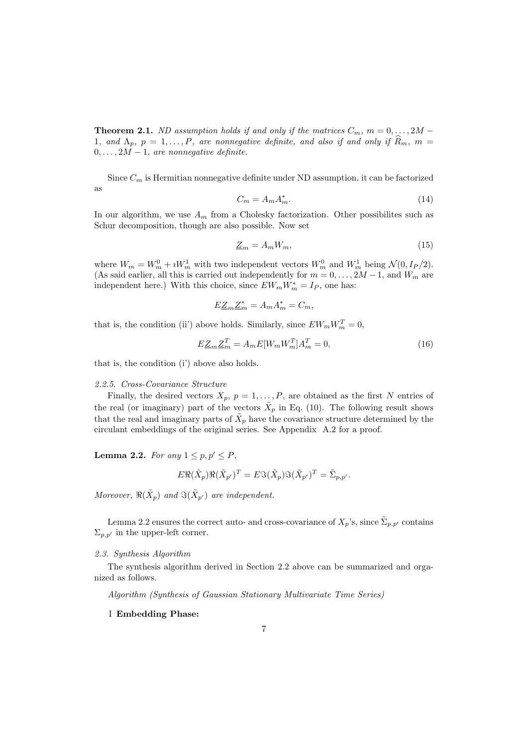**Theorem 2.1.** ND assumption holds if and only if the matrices  $C_m$ ,  $m = 0, \ldots, 2M -$ 1, and  $\Lambda_p$ ,  $p = 1, \ldots, P$ , are nonnegative definite, and also if and only if  $\hat{R}_m$ ,  $m =$  $0, \ldots, 2\dot{M} - 1$ , are nonnegative definite.

Since  $C_m$  is Hermitian nonnegative definite under ND assumption, it can be factorized as

$$
C_m = A_m A_m^*.
$$
\n<sup>(14)</sup>

In our algorithm, we use  $A_m$  from a Cholesky factorization. Other possibilites such as Schur decomposition, though are also possible. Now set

$$
\underline{Z}_m = A_m W_m,\tag{15}
$$

where  $W_m = W_m^0 + iW_m^1$  with two independent vectors  $W_m^0$  and  $W_m^1$  being  $\mathcal{N}(0, I_P/2)$ . (As said earlier, all this is carried out independently for  $m = 0, \ldots, 2M - 1$ , and  $W_m$  are independent here.) With this choice, since  $EW_mW_m^* = I_P$ , one has:

$$
E\underline{Z}_m \underline{Z}_m^* = A_m A_m^* = C_m,
$$

that is, the condition (ii') above holds. Similarly, since  $EW_mW_m^T = 0$ ,

$$
E\underline{Z}_m \underline{Z}_m^T = A_m E[W_m W_m^T] A_m^T = 0,\tag{16}
$$

that is, the condition (i') above also holds.

## 2.2.5. Cross-Covariance Structure

Finally, the desired vectors  $X_p$ ,  $p = 1, \ldots, P$ , are obtained as the first N entries of the real (or imaginary) part of the vectors  $\tilde{X}_p$  in Eq. (10). The following result shows that the real and imaginary parts of  $\tilde{X}_p$  have the covariance structure determined by the circulant embeddings of the original series. See Appendix A.2 for a proof.

**Lemma 2.2.** For any  $1 \leq p, p' \leq P$ ,

$$
E\Re(\tilde{X}_p)\Re(\tilde{X}_{p'})^T = E\Im(\tilde{X}_p)\Im(\tilde{X}_{p'})^T = \tilde{\Sigma}_{p,p'}.
$$

Moreover,  $\Re(\tilde{X}_p)$  and  $\Im(\tilde{X}_{p'})$  are independent.

Lemma 2.2 ensures the correct auto- and cross-covariance of  $X_p$ 's, since  $\Sigma_{p,p'}$  contains  $\Sigma_{p,p'}$  in the upper-left corner.

#### 2.3. Synthesis Algorithm

The synthesis algorithm derived in Section 2.2 above can be summarized and organized as follows.

Algorithm (Synthesis of Gaussian Stationary Multivariate Time Series)

I Embedding Phase: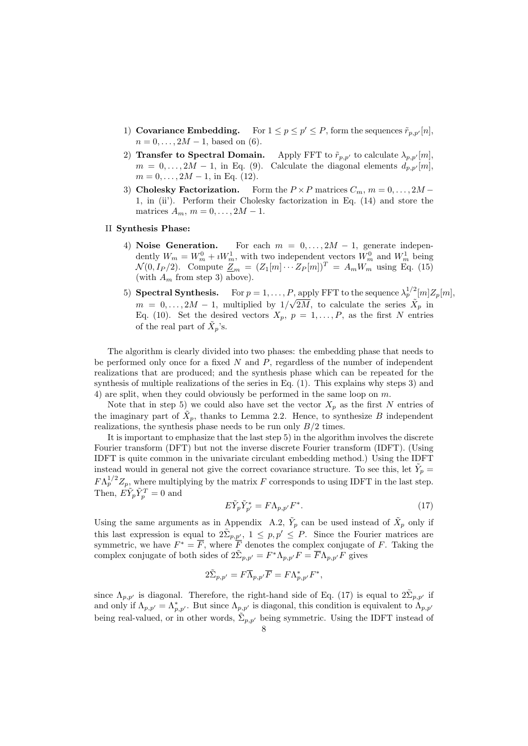- 1) Covariance Embedding. For  $1 \leq p \leq p' \leq P$ , form the sequences  $\tilde{r}_{p,p'}[n]$ ,  $n = 0, \ldots, 2M - 1$ , based on (6).
- 2) Transfer to Spectral Domain. Apply FFT to  $\tilde{r}_{p,p'}$  to calculate  $\lambda_{p,p'}[m]$ ,  $m = 0, \ldots, 2M - 1$ , in Eq. (9). Calculate the diagonal elements  $d_{p,p'}[m]$ ,  $m = 0, \ldots, 2M - 1$ , in Eq. (12).
- 3) Cholesky Factorization. Form the  $P \times P$  matrices  $C_m$ ,  $m = 0, \ldots, 2M -$ 1, in (ii'). Perform their Cholesky factorization in Eq. (14) and store the matrices  $A_m$ ,  $m = 0, \ldots, 2M - 1$ .

## II Synthesis Phase:

- 4) Noise Generation. For each  $m = 0, \ldots, 2M 1$ , generate independently  $W_m = W_m^0 + iW_m^1$ , with two independent vectors  $W_m^0$  and  $W_m^1$  being  $\mathcal{N}(0, I_P/2)$ . Compute  $\mathcal{Z}_m = (Z_1[m] \cdots Z_P[m])^T = A_m W_m^{\text{max}}$  using Eq. (15) (with  $A_m$  from step 3) above).
- 5) **Spectral Synthesis.** For  $p = 1, ..., P$ , apply FFT to the sequence  $\lambda_p^{1/2}[m]Z_p[m]$ ,  $m = 0, \ldots, 2M - 1$ , multiplied by  $1/\sqrt{2M}$ , to calculate the series  $\tilde{X}_p$  in Eq. (10). Set the desired vectors  $X_p$ ,  $p = 1, \ldots, P$ , as the first N entries of the real part of  $\ddot{X}_p$ 's.

The algorithm is clearly divided into two phases: the embedding phase that needs to be performed only once for a fixed  $N$  and  $P$ , regardless of the number of independent realizations that are produced; and the synthesis phase which can be repeated for the synthesis of multiple realizations of the series in Eq. (1). This explains why steps 3) and 4) are split, when they could obviously be performed in the same loop on m.

Note that in step 5) we could also have set the vector  $X_p$  as the first N entries of the imaginary part of  $\tilde{X}_p$ , thanks to Lemma 2.2. Hence, to synthesize B independent realizations, the synthesis phase needs to be run only  $B/2$  times.

It is important to emphasize that the last step 5) in the algorithm involves the discrete Fourier transform (DFT) but not the inverse discrete Fourier transform (IDFT). (Using IDFT is quite common in the univariate circulant embedding method.) Using the IDFT instead would in general not give the correct covariance structure. To see this, let  $Y_p =$  $FA_p^{1/2}Z_p$ , where multiplying by the matrix F corresponds to using IDFT in the last step. Then,  $E\tilde{Y}_p\tilde{Y}_p^T = 0$  and

$$
E\tilde{Y}_p \tilde{Y}_{p'}^* = F\Lambda_{p,p'} F^*.
$$
\n(17)

Using the same arguments as in Appendix A.2,  $\tilde{Y}_p$  can be used instead of  $\tilde{X}_p$  only if this last expression is equal to  $2\tilde{\Sigma}_{p,\underline{p}'}$ ,  $1 \leq p,p' \leq P$ . Since the Fourier matrices are symmetric, we have  $F^* = F$ , where F denotes the complex conjugate of F. Taking the complex conjugate of both sides of  $2\tilde{\Sigma}_{p,p'} = F^* \Lambda_{p,p'} F = \overline{F} \Lambda_{p,p'} F$  gives

$$
2\tilde{\Sigma}_{p,p'} = F\overline{\Lambda}_{p,p'}\overline{F} = F\Lambda_{p,p'}^*F^*,
$$

since  $\Lambda_{p,p'}$  is diagonal. Therefore, the right-hand side of Eq. (17) is equal to  $2\tilde{\Sigma}_{p,p'}$  if and only if  $\Lambda_{p,p'} = \Lambda_{p,p'}^*$ . But since  $\Lambda_{p,p'}$  is diagonal, this condition is equivalent to  $\Lambda_{p,p'}$ being real-valued, or in other words,  $\tilde{\Sigma}_{p,p'}$  being symmetric. Using the IDFT instead of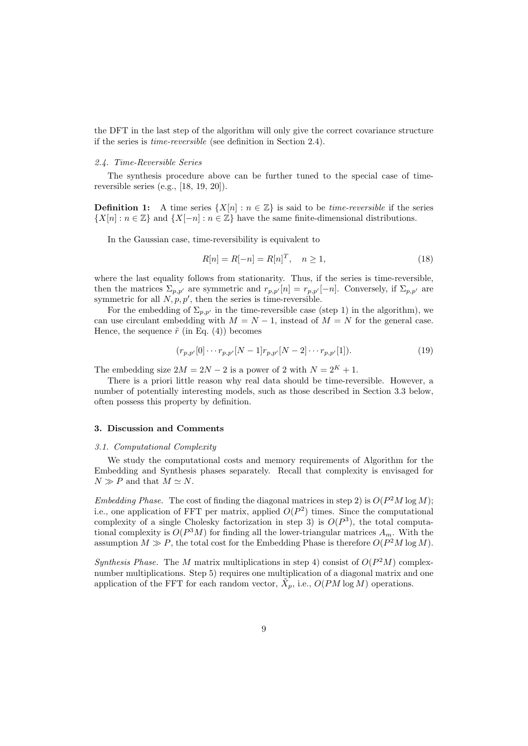the DFT in the last step of the algorithm will only give the correct covariance structure if the series is time-reversible (see definition in Section 2.4).

## 2.4. Time-Reversible Series

The synthesis procedure above can be further tuned to the special case of timereversible series (e.g., [18, 19, 20]).

**Definition 1:** A time series  $\{X[n] : n \in \mathbb{Z}\}\$  is said to be *time-reversible* if the series  $\{X[n] : n \in \mathbb{Z}\}\$  and  $\{X[-n] : n \in \mathbb{Z}\}\$  have the same finite-dimensional distributions.

In the Gaussian case, time-reversibility is equivalent to

$$
R[n] = R[-n] = R[n]^T, \quad n \ge 1,
$$
\n(18)

where the last equality follows from stationarity. Thus, if the series is time-reversible. then the matrices  $\Sigma_{p,p'}$  are symmetric and  $r_{p,p'}[n] = r_{p,p'}[-n]$ . Conversely, if  $\Sigma_{p,p'}$  are symmetric for all  $N, p, p'$ , then the series is time-reversible.

For the embedding of  $\Sigma_{p,p'}$  in the time-reversible case (step 1) in the algorithm), we can use circulant embedding with  $M = N - 1$ , instead of  $M = N$  for the general case. Hence, the sequence  $\tilde{r}$  (in Eq. (4)) becomes

$$
(r_{p,p'}[0] \cdots r_{p,p'}[N-1]r_{p,p'}[N-2] \cdots r_{p,p'}[1]).
$$
\n(19)

The embedding size  $2M = 2N - 2$  is a power of 2 with  $N = 2<sup>K</sup> + 1$ .

There is a priori little reason why real data should be time-reversible. However, a number of potentially interesting models, such as those described in Section 3.3 below, often possess this property by definition.

## 3. Discussion and Comments

#### 3.1. Computational Complexity

We study the computational costs and memory requirements of Algorithm for the Embedding and Synthesis phases separately. Recall that complexity is envisaged for  $N \gg P$  and that  $M \simeq N$ .

Embedding Phase. The cost of finding the diagonal matrices in step 2) is  $O(P^2M \log M)$ ; i.e., one application of FFT per matrix, applied  $O(P^2)$  times. Since the computational complexity of a single Cholesky factorization in step 3) is  $O(P^3)$ , the total computational complexity is  $O(P^3M)$  for finding all the lower-triangular matrices  $A_m$ . With the assumption  $M \gg P$ , the total cost for the Embedding Phase is therefore  $O(P^2M \log M)$ .

Synthesis Phase. The M matrix multiplications in step 4) consist of  $O(P<sup>2</sup>M)$  complexnumber multiplications. Step 5) requires one multiplication of a diagonal matrix and one application of the FFT for each random vector,  $X_p$ , i.e.,  $O(PM \log M)$  operations.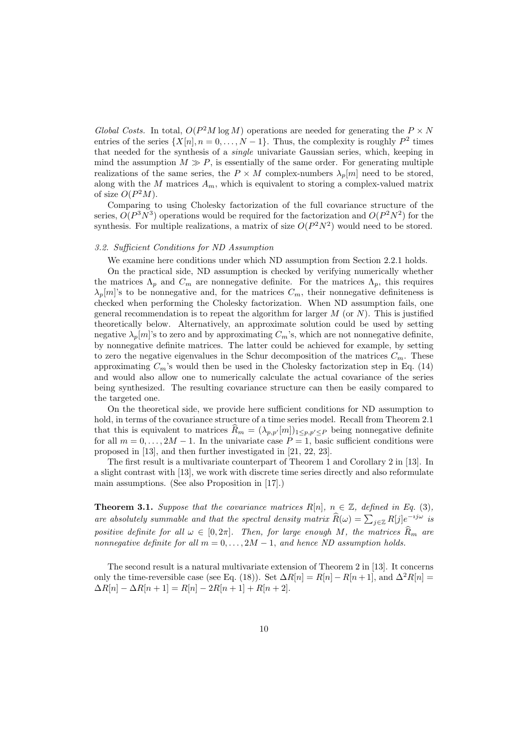Global Costs. In total,  $O(P^2M \log M)$  operations are needed for generating the  $P \times N$ entries of the series  $\{X[n], n = 0, \ldots, N-1\}$ . Thus, the complexity is roughly  $P^2$  times that needed for the synthesis of a single univariate Gaussian series, which, keeping in mind the assumption  $M \gg P$ , is essentially of the same order. For generating multiple realizations of the same series, the  $P \times M$  complex-numbers  $\lambda_p[m]$  need to be stored, along with the M matrices  $A_m$ , which is equivalent to storing a complex-valued matrix of size  $O(P^2M)$ .

Comparing to using Cholesky factorization of the full covariance structure of the series,  $O(P^3N^3)$  operations would be required for the factorization and  $O(P^2N^2)$  for the synthesis. For multiple realizations, a matrix of size  $O(P^2N^2)$  would need to be stored.

## 3.2. Sufficient Conditions for ND Assumption

We examine here conditions under which ND assumption from Section 2.2.1 holds.

On the practical side, ND assumption is checked by verifying numerically whether the matrices  $\Lambda_p$  and  $C_m$  are nonnegative definite. For the matrices  $\Lambda_p$ , this requires  $\lambda_p[m]$ 's to be nonnegative and, for the matrices  $C_m$ , their nonnegative definiteness is checked when performing the Cholesky factorization. When ND assumption fails, one general recommendation is to repeat the algorithm for larger  $M$  (or  $N$ ). This is justified theoretically below. Alternatively, an approximate solution could be used by setting negative  $\lambda_n[m]$ 's to zero and by approximating  $C_m$ 's, which are not nonnegative definite, by nonnegative definite matrices. The latter could be achieved for example, by setting to zero the negative eigenvalues in the Schur decomposition of the matrices  $C_m$ . These approximating  $C_m$ 's would then be used in the Cholesky factorization step in Eq. (14) and would also allow one to numerically calculate the actual covariance of the series being synthesized. The resulting covariance structure can then be easily compared to the targeted one.

On the theoretical side, we provide here sufficient conditions for ND assumption to hold, in terms of the covariance structure of a time series model. Recall from Theorem 2.1 that this is equivalent to matrices  $\widehat{R}_m = (\lambda_{p,p'}[m])_{1 \leq p,p' \leq P}$  being nonnegative definite for all  $m = 0, \ldots, 2M - 1$ . In the univariate case  $P = 1$ , basic sufficient conditions were proposed in [13], and then further investigated in [21, 22, 23].

The first result is a multivariate counterpart of Theorem 1 and Corollary 2 in [13]. In a slight contrast with [13], we work with discrete time series directly and also reformulate main assumptions. (See also Proposition in [17].)

**Theorem 3.1.** Suppose that the covariance matrices  $R[n], n \in \mathbb{Z}$ , defined in Eq. (3), are absolutely summable and that the spectral density matrix  $\widehat{R}(\omega) = \sum_{j \in \mathbb{Z}} R[j] e^{-ij\omega}$  is positive definite for all  $\omega \in [0, 2\pi]$ . Then, for large enough M, the matrices  $\widehat{R}_m$  are nonnegative definite for all  $m = 0, \ldots, 2M - 1$ , and hence ND assumption holds.

The second result is a natural multivariate extension of Theorem 2 in [13]. It concerns only the time-reversible case (see Eq. (18)). Set  $\Delta R[n] = R[n] - R[n+1]$ , and  $\Delta^2 R[n] =$  $\Delta R[n] - \Delta R[n+1] = R[n] - 2R[n+1] + R[n+2].$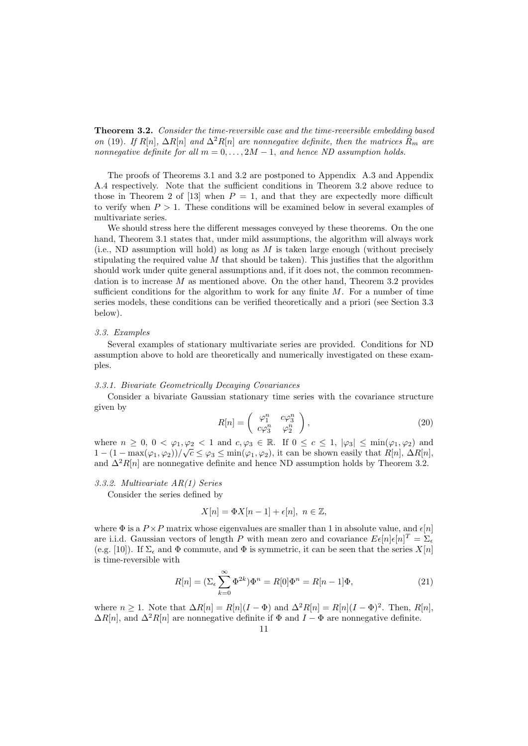Theorem 3.2. Consider the time-reversible case and the time-reversible embedding based on (19). If R[n],  $\Delta R[n]$  and  $\Delta^2 R[n]$  are nonnegative definite, then the matrices  $\widehat{R}_m$  are nonnegative definite for all  $m = 0, \ldots, 2M - 1$ , and hence ND assumption holds.

The proofs of Theorems 3.1 and 3.2 are postponed to Appendix A.3 and Appendix A.4 respectively. Note that the sufficient conditions in Theorem 3.2 above reduce to those in Theorem 2 of [13] when  $P = 1$ , and that they are expectedly more difficult to verify when  $P > 1$ . These conditions will be examined below in several examples of multivariate series.

We should stress here the different messages conveyed by these theorems. On the one hand, Theorem 3.1 states that, under mild assumptions, the algorithm will always work (i.e., ND assumption will hold) as long as  $M$  is taken large enough (without precisely stipulating the required value  $M$  that should be taken). This justifies that the algorithm should work under quite general assumptions and, if it does not, the common recommendation is to increase M as mentioned above. On the other hand, Theorem 3.2 provides sufficient conditions for the algorithm to work for any finite  $M$ . For a number of time series models, these conditions can be verified theoretically and a priori (see Section 3.3 below).

## 3.3. Examples

Several examples of stationary multivariate series are provided. Conditions for ND assumption above to hold are theoretically and numerically investigated on these examples.

## 3.3.1. Bivariate Geometrically Decaying Covariances

Consider a bivariate Gaussian stationary time series with the covariance structure given by

$$
R[n] = \begin{pmatrix} \varphi_1^n & c\varphi_3^n \\ c\varphi_3^n & \varphi_2^n \end{pmatrix},
$$
\n(20)

where  $n \geq 0$ ,  $0 < \varphi_1, \varphi_2 < 1$  and  $c, \varphi_3 \in \mathbb{R}$ . If  $0 \leq c \leq 1$ ,  $|\varphi_3| \leq \min(\varphi_1, \varphi_2)$  and  $1 - (1 - \max(\varphi_1, \varphi_2))/\sqrt{c} \leq \varphi_3 \leq \min(\varphi_1, \varphi_2)$ , it can be shown easily that  $R[n], \Delta R[n]$ , and  $\Delta^2 R[n]$  are nonnegative definite and hence ND assumption holds by Theorem 3.2.

## 3.3.2. Multivariate AR(1) Series

Consider the series defined by

$$
X[n] = \Phi X[n-1] + \epsilon[n], \ n \in \mathbb{Z},
$$

where  $\Phi$  is a  $P \times P$  matrix whose eigenvalues are smaller than 1 in absolute value, and  $\epsilon[n]$ are i.i.d. Gaussian vectors of length P with mean zero and covariance  $E\epsilon[n]\epsilon[n]^T = \sum_{\epsilon}$ (e.g. [10]). If  $\Sigma_{\epsilon}$  and  $\Phi$  commute, and  $\Phi$  is symmetric, it can be seen that the series  $X[n]$ is time-reversible with

$$
R[n] = (\Sigma_{\epsilon} \sum_{k=0}^{\infty} \Phi^{2k}) \Phi^n = R[0] \Phi^n = R[n-1] \Phi,
$$
\n(21)

where  $n \geq 1$ . Note that  $\Delta R[n] = R[n](I - \Phi)$  and  $\Delta^2 R[n] = R[n](I - \Phi)^2$ . Then,  $R[n]$ ,  $\Delta R[n]$ , and  $\Delta^2 R[n]$  are nonnegative definite if  $\Phi$  and  $I - \Phi$  are nonnegative definite.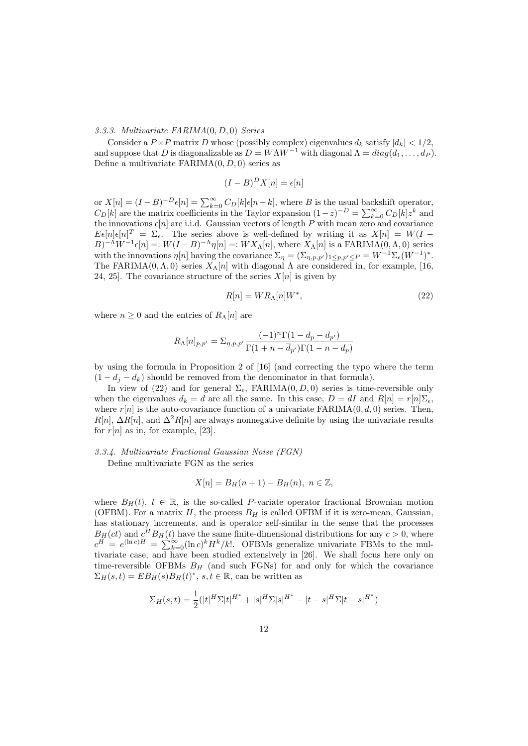## 3.3.3. Multivariate FARIMA(0, D, 0) Series

Consider a  $P \times P$  matrix D whose (possibly complex) eigenvalues  $d_k$  satisfy  $|d_k| < 1/2$ , and suppose that D is diagonalizable as  $D = W\Lambda W^{-1}$  with diagonal  $\Lambda = diag(d_1, \ldots, d_P)$ . Define a multivariate  $FARIMA(0, D, 0)$  series as

$$
(I - B)^D X[n] = \epsilon[n]
$$

or  $X[n] = (I - B)^{-D} \epsilon[n] = \sum_{k=0}^{\infty} C_D[k] \epsilon[n-k]$ , where B is the usual backshift operator,  $C_D[k]$  are the matrix coefficients in the Taylor expansion  $(1-z)^{-D} = \sum_{k=0}^{\infty} C_D[k]z^k$  and the innovations  $\epsilon[n]$  are i.i.d. Gaussian vectors of length P with mean zero and covariance  $E\epsilon[n]\epsilon[n]^T = \Sigma_{\epsilon}$ . The series above is well-defined by writing it as  $X[n] = W(I B)^{-\Lambda}W^{-1}\epsilon[n]=:W(I-B)^{-\Lambda}\eta[n]=:WX_{\Lambda}[n],$  where  $X_{\Lambda}[n]$  is a FARIMA $(0,\Lambda,0)$  series with the innovations  $\eta[n]$  having the covariance  $\Sigma_{\eta} = (\Sigma_{\eta,p,p'})_{1 \leq p,p' \leq P} = W^{-1} \Sigma_{\epsilon}(W^{-1})^*$ . The FARIMA(0,  $\Lambda$ , 0) series  $X_{\Lambda}[n]$  with diagonal  $\Lambda$  are considered in, for example, [16, 24, 25]. The covariance structure of the series  $X[n]$  is given by

$$
R[n] = WR_{\Lambda}[n]W^*,\tag{22}
$$

where  $n \geq 0$  and the entries of  $R_{\Lambda}[n]$  are

$$
R_{\Lambda}[n]_{p,p'} = \sum_{\eta,p,p'} \frac{(-1)^n \Gamma(1 - d_p - \overline{d}_{p'})}{\Gamma(1 + n - \overline{d}_{p'}) \Gamma(1 - n - d_p)}
$$

by using the formula in Proposition 2 of [16] (and correcting the typo where the term  $(1 - d_j - d_k)$  should be removed from the denominator in that formula).

In view of (22) and for general  $\Sigma_{\epsilon}$ , FARIMA $(0, D, 0)$  series is time-reversible only when the eigenvalues  $d_k = d$  are all the same. In this case,  $D = dI$  and  $R[n] = r[n]\Sigma_{\epsilon}$ , where  $r[n]$  is the auto-covariance function of a univariate  $FARIMA(0, d, 0)$  series. Then,  $R[n], \Delta R[n]$ , and  $\Delta^2 R[n]$  are always nonnegative definite by using the univariate results for  $r[n]$  as in, for example, [23].

## 3.3.4. Multivariate Fractional Gaussian Noise (FGN)

Define multivariate FGN as the series

$$
X[n] = B_H(n+1) - B_H(n), \ n \in \mathbb{Z},
$$

where  $B_H(t)$ ,  $t \in \mathbb{R}$ , is the so-called P-variate operator fractional Brownian motion (OFBM). For a matrix  $H$ , the process  $B_H$  is called OFBM if it is zero-mean, Gaussian, has stationary increments, and is operator self-similar in the sense that the processes  $B_H(ct)$  and  $c^H B_H(t)$  have the same finite-dimensional distributions for any  $c > 0$ , where  $c^H = e^{(\ln c)H} = \sum_{k=0}^{\infty} (\ln c)^k H^k / k!$ . OFBMs generalize univariate FBMs to the multivariate case, and have been studied extensively in [26]. We shall focus here only on time-reversible OFBMs  $B_H$  (and such FGNs) for and only for which the covariance  $\Sigma_H(s,t) = EB_H(s)B_H(t)^*, s,t \in \mathbb{R}$ , can be written as

$$
\Sigma_H(s,t) = \frac{1}{2} (|t|^H \Sigma |t|^{H^*} + |s|^H \Sigma |s|^{H^*} - |t-s|^H \Sigma |t-s|^{H^*})
$$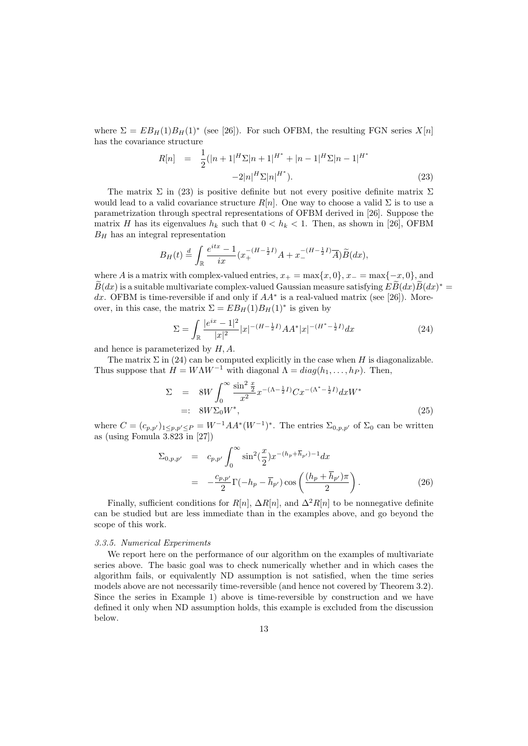where  $\Sigma = EB_H(1)B_H(1)^*$  (see [26]). For such OFBM, the resulting FGN series  $X[n]$ has the covariance structure

$$
R[n] = \frac{1}{2}(|n+1|^H \Sigma |n+1|^{H^*} + |n-1|^H \Sigma |n-1|^{H^*} - 2|n|^H \Sigma |n|^{H^*}).
$$
\n(23)

The matrix  $\Sigma$  in (23) is positive definite but not every positive definite matrix  $\Sigma$ would lead to a valid covariance structure  $R[n]$ . One way to choose a valid  $\Sigma$  is to use a parametrization through spectral representations of OFBM derived in [26]. Suppose the matrix H has its eigenvalues  $h_k$  such that  $0 < h_k < 1$ . Then, as shown in [26], OFBM  $B_H$  has an integral representation

$$
B_H(t) \stackrel{d}{=} \int_{\mathbb{R}} \frac{e^{itx} - 1}{ix} (x_+^{-(H - \frac{1}{2}I)} A + x_-^{-(H - \frac{1}{2}I)} \overline{A}) \widetilde{B}(dx),
$$

where A is a matrix with complex-valued entries,  $x_+ = \max\{x, 0\}$ ,  $x_- = \max\{-x, 0\}$ , and  $\widetilde{B}(dx)$  is a suitable multivariate complex-valued Gaussian measure satisfying  $E\widetilde{B}(dx)\widetilde{B}(dx)^{*} =$ dx. OFBM is time-reversible if and only if  $AA^*$  is a real-valued matrix (see [26]). Moreover, in this case, the matrix  $\Sigma = EB_H(1)B_H(1)^*$  is given by

$$
\Sigma = \int_{\mathbb{R}} \frac{|e^{ix} - 1|^2}{|x|^2} |x|^{-(H - \frac{1}{2}I)} A A^* |x|^{-(H^* - \frac{1}{2}I)} dx \tag{24}
$$

and hence is parameterized by  $H, A$ .

The matrix  $\Sigma$  in (24) can be computed explicitly in the case when H is diagonalizable. Thus suppose that  $H = W\Lambda W^{-1}$  with diagonal  $\Lambda = diag(h_1, \ldots, h_p)$ . Then,

$$
\Sigma = 8W \int_0^\infty \frac{\sin^2 \frac{x}{2}}{x^2} x^{-(\Lambda - \frac{1}{2}I)} C x^{-(\Lambda^* - \frac{1}{2}I)} dx W^*
$$
  
=: 8W\Sigma\_0 W^\*, (25)

where  $C = (c_{p,p'})_{1 \le p,p' \le P} = W^{-1}AA^*(W^{-1})^*$ . The entries  $\Sigma_{0,p,p'}$  of  $\Sigma_0$  can be written as (using Fomula 3.823 in [27])

$$
\Sigma_{0,p,p'} = c_{p,p'} \int_0^\infty \sin^2(\frac{x}{2}) x^{-(h_p + \overline{h}_{p'}) - 1} dx \n= -\frac{c_{p,p'}}{2} \Gamma(-h_p - \overline{h}_{p'}) \cos\left(\frac{(h_p + \overline{h}_{p'})\pi}{2}\right).
$$
\n(26)

Finally, sufficient conditions for R[n],  $\Delta R[n]$ , and  $\Delta^2 R[n]$  to be nonnegative definite can be studied but are less immediate than in the examples above, and go beyond the scope of this work.

#### 3.3.5. Numerical Experiments

We report here on the performance of our algorithm on the examples of multivariate series above. The basic goal was to check numerically whether and in which cases the algorithm fails, or equivalently ND assumption is not satisfied, when the time series models above are not necessarily time-reversible (and hence not covered by Theorem 3.2). Since the series in Example 1) above is time-reversible by construction and we have defined it only when ND assumption holds, this example is excluded from the discussion below.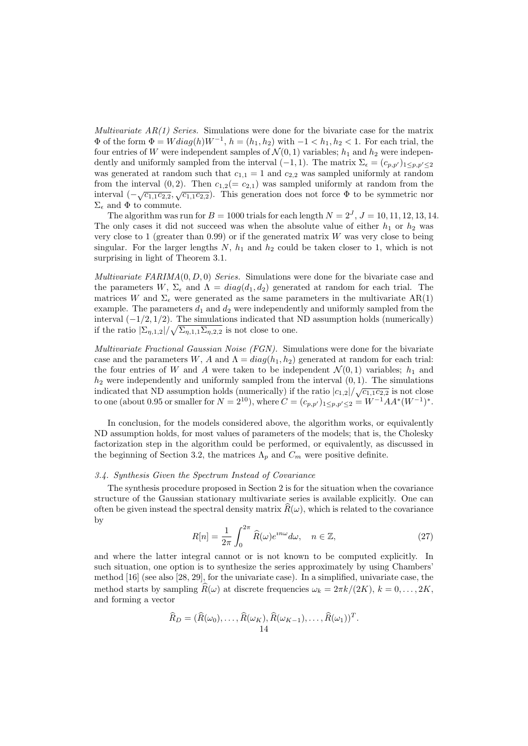*Multivariate*  $AR(1)$  *Series.* Simulations were done for the bivariate case for the matrix  $\Phi$  of the form  $\Phi = Wdiag(h)W^{-1}$ ,  $h = (h_1, h_2)$  with  $-1 < h_1, h_2 < 1$ . For each trial, the four entries of W were independent samples of  $\mathcal{N}(0,1)$  variables;  $h_1$  and  $h_2$  were independently and uniformly sampled from the interval  $(-1, 1)$ . The matrix  $\Sigma_{\epsilon} = (c_{p,p'})_{1 \leq p,p' \leq 2}$ was generated at random such that  $c_{1,1} = 1$  and  $c_{2,2}$  was sampled uniformly at random from the interval  $(0, 2)$ . Then  $c_{1,2} (= c_{2,1})$  was sampled uniformly at random from the interval  $(-\sqrt{c_{1,1}c_{2,2}}, \sqrt{c_{1,1}c_{2,2}})$ . This generation does not force  $\Phi$  to be symmetric nor  $\Sigma_{\epsilon}$  and  $\Phi$  to commute.

The algorithm was run for  $B = 1000$  trials for each length  $N = 2<sup>J</sup>$ ,  $J = 10, 11, 12, 13, 14$ . The only cases it did not succeed was when the absolute value of either  $h_1$  or  $h_2$  was very close to 1 (greater than  $(0.99)$  or if the generated matrix W was very close to being singular. For the larger lengths  $N$ ,  $h_1$  and  $h_2$  could be taken closer to 1, which is not surprising in light of Theorem 3.1.

Multivariate  $FARIMA(0, D, 0)$  Series. Simulations were done for the bivariate case and the parameters W,  $\Sigma_{\epsilon}$  and  $\Lambda = diag(d_1, d_2)$  generated at random for each trial. The matrices W and  $\Sigma_{\epsilon}$  were generated as the same parameters in the multivariate AR(1) example. The parameters  $d_1$  and  $d_2$  were independently and uniformly sampled from the interval  $(-1/2, 1/2)$ . The simulations indicated that ND assumption holds (numerically) if the ratio  $|\Sigma_{\eta,1,2}|/\sqrt{\Sigma_{\eta,1,1}\Sigma_{\eta,2,2}}$  is not close to one.

Multivariate Fractional Gaussian Noise (FGN). Simulations were done for the bivariate case and the parameters W, A and  $\Lambda = diag(h_1, h_2)$  generated at random for each trial: the four entries of W and A were taken to be independent  $\mathcal{N}(0,1)$  variables;  $h_1$  and  $h_2$  were independently and uniformly sampled from the interval  $(0, 1)$ . The simulations indicated that ND assumption holds (numerically) if the ratio  $|c_{1,2}|/\sqrt{c_{1,1}c_{2,2}}$  is not close to one (about 0.95 or smaller for  $N = 2^{10}$ ), where  $C = (c_{p,p'})_{1 \leq p,p' \leq 2} = W^{-1}AA^*(W^{-1})^*$ .

In conclusion, for the models considered above, the algorithm works, or equivalently ND assumption holds, for most values of parameters of the models; that is, the Cholesky factorization step in the algorithm could be performed, or equivalently, as discussed in the beginning of Section 3.2, the matrices  $\Lambda_p$  and  $C_m$  were positive definite.

## 3.4. Synthesis Given the Spectrum Instead of Covariance

The synthesis procedure proposed in Section 2 is for the situation when the covariance structure of the Gaussian stationary multivariate series is available explicitly. One can often be given instead the spectral density matrix  $R(\omega)$ , which is related to the covariance by

$$
R[n] = \frac{1}{2\pi} \int_0^{2\pi} \widehat{R}(\omega) e^{in\omega} d\omega, \quad n \in \mathbb{Z},
$$
\n(27)

and where the latter integral cannot or is not known to be computed explicitly. In such situation, one option is to synthesize the series approximately by using Chambers' method [16] (see also [28, 29], for the univariate case). In a simplified, univariate case, the method starts by sampling  $R(\omega)$  at discrete frequencies  $\omega_k = 2\pi k/(2K)$ ,  $k = 0, \ldots, 2K$ . and forming a vector

$$
\widehat{R}_D = (\widehat{R}(\omega_0), \dots, \widehat{R}(\omega_K), \widehat{R}(\omega_{K-1}), \dots, \widehat{R}(\omega_1))^T.
$$
  
14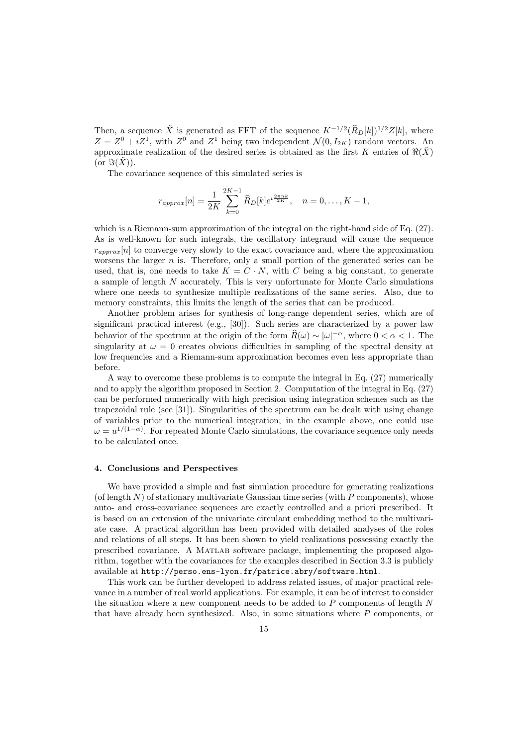Then, a sequence  $\tilde{X}$  is generated as FFT of the sequence  $K^{-1/2}(\hat{R}_D[k])^{1/2}Z[k]$ , where  $Z = Z^0 + iZ^1$ , with  $Z^0$  and  $Z^1$  being two independent  $\mathcal{N}(0, I_{2K})$  random vectors. An approximate realization of the desired series is obtained as the first K entries of  $\Re(\tilde{X})$ (or  $\Im(\tilde{X})$ ).

The covariance sequence of this simulated series is

$$
r_{approx}[n] = \frac{1}{2K} \sum_{k=0}^{2K-1} \widehat{R}_D[k] e^{i\frac{2\pi nk}{2K}}, \quad n = 0, \dots, K-1,
$$

which is a Riemann-sum approximation of the integral on the right-hand side of Eq.  $(27)$ . As is well-known for such integrals, the oscillatory integrand will cause the sequence  $r_{ann\alpha}[n]$  to converge very slowly to the exact covariance and, where the approximation worsens the larger  $n$  is. Therefore, only a small portion of the generated series can be used, that is, one needs to take  $K = C \cdot N$ , with C being a big constant, to generate a sample of length N accurately. This is very unfortunate for Monte Carlo simulations where one needs to synthesize multiple realizations of the same series. Also, due to memory constraints, this limits the length of the series that can be produced.

Another problem arises for synthesis of long-range dependent series, which are of significant practical interest (e.g., [30]). Such series are characterized by a power law behavior of the spectrum at the origin of the form  $\widehat{R}(\omega) \sim |\omega|^{-\alpha}$ , where  $0 < \alpha < 1$ . The singularity at  $\omega = 0$  creates obvious difficulties in sampling of the spectral density at low frequencies and a Riemann-sum approximation becomes even less appropriate than before.

A way to overcome these problems is to compute the integral in Eq. (27) numerically and to apply the algorithm proposed in Section 2. Computation of the integral in Eq. (27) can be performed numerically with high precision using integration schemes such as the trapezoidal rule (see [31]). Singularities of the spectrum can be dealt with using change of variables prior to the numerical integration; in the example above, one could use  $\omega = u^{1/(1-\alpha)}$ . For repeated Monte Carlo simulations, the covariance sequence only needs to be calculated once.

## 4. Conclusions and Perspectives

We have provided a simple and fast simulation procedure for generating realizations (of length  $N$ ) of stationary multivariate Gaussian time series (with  $P$  components), whose auto- and cross-covariance sequences are exactly controlled and a priori prescribed. It is based on an extension of the univariate circulant embedding method to the multivariate case. A practical algorithm has been provided with detailed analyses of the roles and relations of all steps. It has been shown to yield realizations possessing exactly the prescribed covariance. A Matlab software package, implementing the proposed algorithm, together with the covariances for the examples described in Section 3.3 is publicly available at http://perso.ens-lyon.fr/patrice.abry/software.html.

This work can be further developed to address related issues, of major practical relevance in a number of real world applications. For example, it can be of interest to consider the situation where a new component needs to be added to  $P$  components of length  $N$ that have already been synthesized. Also, in some situations where P components, or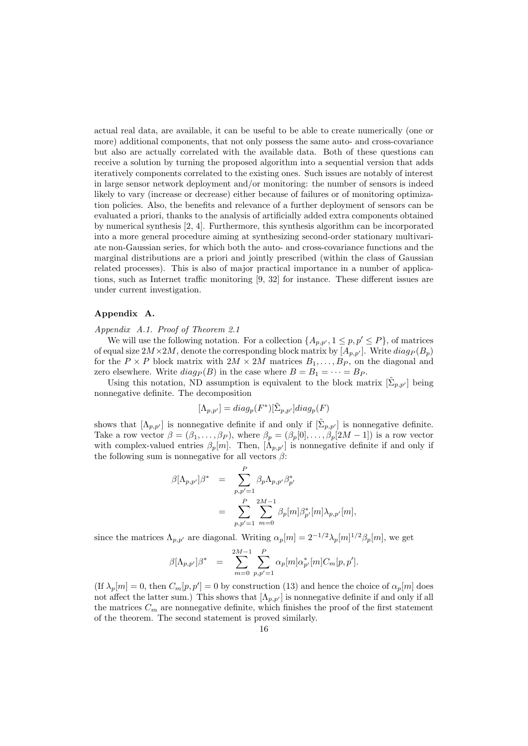actual real data, are available, it can be useful to be able to create numerically (one or more) additional components, that not only possess the same auto- and cross-covariance but also are actually correlated with the available data. Both of these questions can receive a solution by turning the proposed algorithm into a sequential version that adds iteratively components correlated to the existing ones. Such issues are notably of interest in large sensor network deployment and/or monitoring: the number of sensors is indeed likely to vary (increase or decrease) either because of failures or of monitoring optimization policies. Also, the benefits and relevance of a further deployment of sensors can be evaluated a priori, thanks to the analysis of artificially added extra components obtained by numerical synthesis [2, 4]. Furthermore, this synthesis algorithm can be incorporated into a more general procedure aiming at synthesizing second-order stationary multivariate non-Gaussian series, for which both the auto- and cross-covariance functions and the marginal distributions are a priori and jointly prescribed (within the class of Gaussian related processes). This is also of major practical importance in a number of applications, such as Internet traffic monitoring [9, 32] for instance. These different issues are under current investigation.

# Appendix A.

Appendix A.1. Proof of Theorem 2.1

We will use the following notation. For a collection  $\{A_{p,p'}, 1 \leq p,p' \leq P\}$ , of matrices of equal size  $2M \times 2M$ , denote the corresponding block matrix by  $[A_{p,p'}]$ . Write  $diag_P (B_p)$ for the  $P \times P$  block matrix with  $2M \times 2M$  matrices  $B_1, \ldots, B_P$ , on the diagonal and zero elsewhere. Write  $diag_P(B)$  in the case where  $B = B_1 = \cdots = B_P$ .

Using this notation, ND assumption is equivalent to the block matrix  $[\tilde{\Sigma}_{p,p'}]$  being nonnegative definite. The decomposition

$$
[\Lambda_{p,p'}] = diag_p(F^*)[\tilde{\Sigma}_{p,p'}]diag_p(F)
$$

shows that  $[\Lambda_{p,p'}]$  is nonnegative definite if and only if  $[\tilde{\Sigma}_{p,p'}]$  is nonnegative definite. Take a row vector  $\beta = (\beta_1, \ldots, \beta_P)$ , where  $\beta_p = (\beta_p[0], \ldots, \beta_p[2M-1])$  is a row vector with complex-valued entries  $\beta_p[m]$ . Then,  $[\Lambda_{p,p'}]$  is nonnegative definite if and only if the following sum is nonnegative for all vectors  $\beta$ :

$$
\beta[\Lambda_{p,p'}]\beta^* = \sum_{p,p'=1}^P \beta_p \Lambda_{p,p'} \beta_{p'}^*
$$
  
= 
$$
\sum_{p,p'=1}^P \sum_{m=0}^{2M-1} \beta_p[m] \beta_{p'}^*[m] \lambda_{p,p'}[m],
$$

since the matrices  $\Lambda_{p,p'}$  are diagonal. Writing  $\alpha_p[m] = 2^{-1/2} \lambda_p[m]^{1/2} \beta_p[m]$ , we get

$$
\beta[\Lambda_{p,p'}]\beta^* = \sum_{m=0}^{2M-1} \sum_{p,p'=1}^P \alpha_p[m] \alpha_{p'}^*[m] C_m[p,p'].
$$

 $(\text{If } \lambda_p[m] = 0, \text{ then } C_m[p, p'] = 0 \text{ by construction (13) and hence the choice of } \alpha_p[m] \text{ does }$ not affect the latter sum.) This shows that  $[\Lambda_{p,p'}]$  is nonnegative definite if and only if all the matrices  $C_m$  are nonnegative definite, which finishes the proof of the first statement of the theorem. The second statement is proved similarly.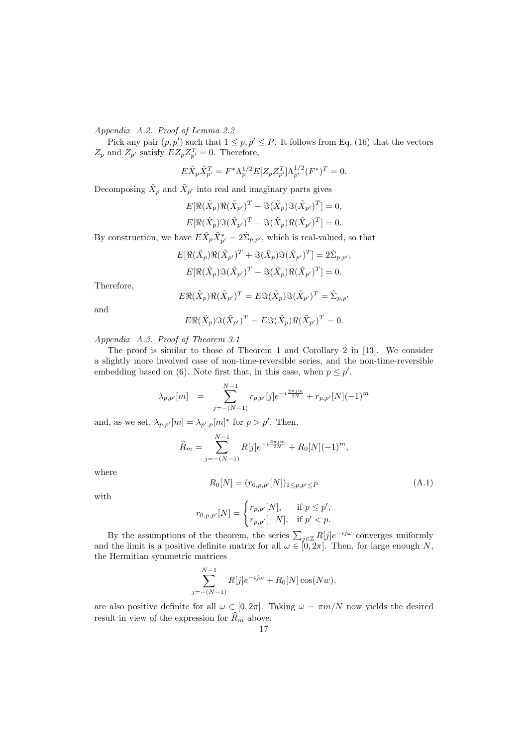Appendix A.2. Proof of Lemma 2.2

Pick any pair  $(p, p')$  such that  $1 \leq p, p' \leq P$ . It follows from Eq. (16) that the vectors  $Z_p$  and  $Z_{p'}$  satisfy  $EZ_pZ_{p'}^T = 0$ . Therefore,

$$
E\tilde{X}_p \tilde{X}_{p'}^T = F^* \Lambda_p^{1/2} E[Z_p Z_{p'}^T] \Lambda_{p'}^{1/2} (F^*)^T = 0.
$$

Decomposing  $\tilde{X}_p$  and  $\tilde{X}_{p'}$  into real and imaginary parts gives

$$
E[\Re(\tilde{X}_p)\Re(\tilde{X}_{p'})^T - \Im(\tilde{X}_p)\Im(\tilde{X}_{p'})^T] = 0,
$$
  

$$
E[\Re(\tilde{X}_p)\Im(\tilde{X}_{p'})^T + \Im(\tilde{X}_p)\Re(\tilde{X}_{p'})^T] = 0.
$$

By construction, we have  $E\tilde{X}_p\tilde{X}^*_{p'} = 2\tilde{\Sigma}_{p,p'}$ , which is real-valued, so that

$$
E[\Re(\tilde{X}_p)\Re(\tilde{X}_{p'})^T + \Im(\tilde{X}_p)\Im(\tilde{X}_{p'})^T] = 2\tilde{\Sigma}_{p,p'},
$$
  

$$
E[\Re(\tilde{X}_p)\Im(\tilde{X}_{p'})^T - \Im(\tilde{X}_p)\Re(\tilde{X}_{p'})^T] = 0.
$$

Therefore,

$$
E\Re(\tilde{X}_p)\Re(\tilde{X}_{p'})^T = E\Im(\tilde{X}_p)\Im(\tilde{X}_{p'})^T = \tilde{\Sigma}_{p,p'}
$$

and

$$
E\Re(\tilde{X}_p)\Im(\tilde{X}_{p'})^T = E\Im(\tilde{X}_p)\Re(\tilde{X}_{p'})^T = 0.
$$

Appendix A.3. Proof of Theorem 3.1

The proof is similar to those of Theorem 1 and Corollary 2 in [13]. We consider a slightly more involved case of non-time-reversible series, and the non-time-reversible embedding based on (6). Note first that, in this case, when  $p \leq p'$ ,

$$
\lambda_{p,p'}[m] = \sum_{j=-(N-1)}^{N-1} r_{p,p'}[j] e^{-i\frac{2\pi jm}{2N}} + r_{p,p'}[N](-1)^m
$$

and, as we set,  $\lambda_{p,p'}[m] = \lambda_{p',p}[m]^*$  for  $p > p'$ . Then,

$$
\widehat{R}_m = \sum_{j=-(N-1)}^{N-1} R[j] e^{-i\frac{2\pi jm}{2N}} + R_0[N](-1)^m,
$$

where

$$
R_0[N] = (r_{0,p,p'}[N])_{1 \le p,p' \le P}
$$
\n(A.1)

with

$$
r_{0,p,p'}[N]=\begin{cases} r_{p,p'}[N],& \text{ if } p\leq p',\\ r_{p,p'}[-N],& \text{ if } p'
$$

By the assumptions of the theorem, the series  $\sum_{j\in\mathbb{Z}} R[j]e^{-ij\omega}$  converges uniformly and the limit is a positive definite matrix for all  $\omega \in [0, 2\pi]$ . Then, for large enough N, the Hermitian symmetric matrices

$$
\sum_{j=-(N-1)}^{N-1} R[j] e^{-ij\omega} + R_0[N] \cos(Nw),
$$

are also positive definite for all  $\omega \in [0, 2\pi]$ . Taking  $\omega = \pi m/N$  now yields the desired result in view of the expression for  $\widehat{R}_m$  above.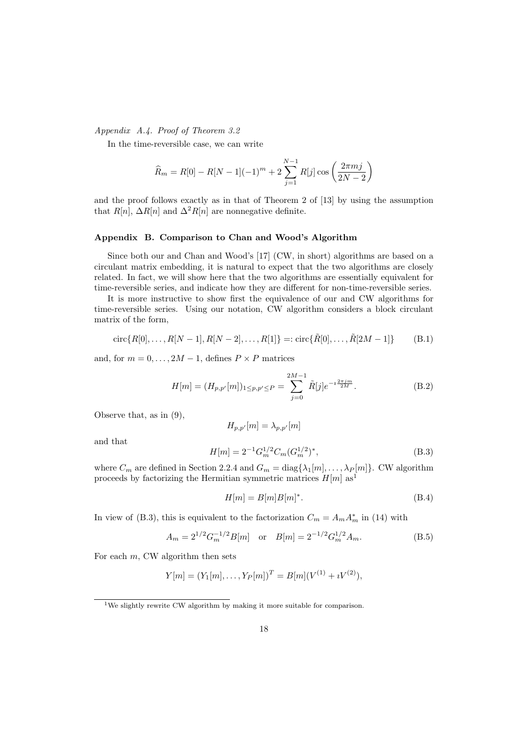Appendix A.4. Proof of Theorem 3.2

In the time-reversible case, we can write

$$
\widehat{R}_m = R[0] - R[N-1](-1)^m + 2\sum_{j=1}^{N-1} R[j] \cos\left(\frac{2\pi mj}{2N-2}\right)
$$

and the proof follows exactly as in that of Theorem 2 of [13] by using the assumption that  $R[n]$ ,  $\Delta R[n]$  and  $\Delta^2 R[n]$  are nonnegative definite.

## Appendix B. Comparison to Chan and Wood's Algorithm

Since both our and Chan and Wood's [17] (CW, in short) algorithms are based on a circulant matrix embedding, it is natural to expect that the two algorithms are closely related. In fact, we will show here that the two algorithms are essentially equivalent for time-reversible series, and indicate how they are different for non-time-reversible series.

It is more instructive to show first the equivalence of our and CW algorithms for time-reversible series. Using our notation, CW algorithm considers a block circulant matrix of the form,

$$
circ{R[0], ..., R[N-1], R[N-2], ..., R[1]} =: circ{R[0], ..., R[2M-1]}
$$
 (B.1)

and, for  $m = 0, \ldots, 2M - 1$ , defines  $P \times P$  matrices

$$
H[m] = (H_{p,p'}[m])_{1 \le p,p' \le P} = \sum_{j=0}^{2M-1} \tilde{R}[j] e^{-i\frac{2\pi jm}{2M}}.
$$
 (B.2)

Observe that, as in (9),

$$
H_{p,p'}[m] = \lambda_{p,p'}[m]
$$

and that

$$
H[m] = 2^{-1} G_m^{1/2} C_m (G_m^{1/2})^*,
$$
\n(B.3)

where  $C_m$  are defined in Section 2.2.4 and  $G_m = \text{diag}\{\lambda_1[m], \ldots, \lambda_P[m]\}\$ . CW algorithm proceeds by factorizing the Hermitian symmetric matrices  $H[m]$  as<sup>1</sup>

$$
H[m] = B[m]B[m]^*.
$$
\n(B.4)

In view of (B.3), this is equivalent to the factorization  $C_m = A_m A_m^*$  in (14) with

$$
A_m = 2^{1/2} G_m^{-1/2} B[m] \quad \text{or} \quad B[m] = 2^{-1/2} G_m^{1/2} A_m. \tag{B.5}
$$

For each  $m$ , CW algorithm then sets

$$
Y[m] = (Y_1[m], \dots, Y_P[m])^T = B[m](V^{(1)} + iV^{(2)}),
$$

 $1$ We slightly rewrite CW algorithm by making it more suitable for comparison.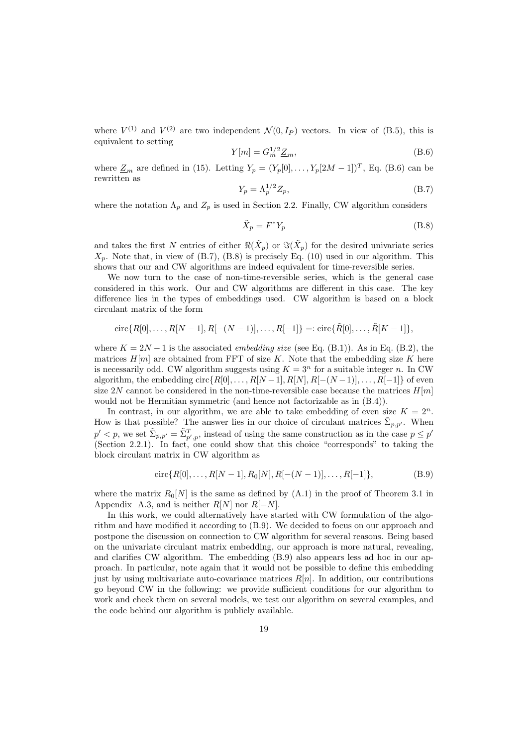where  $V^{(1)}$  and  $V^{(2)}$  are two independent  $\mathcal{N}(0, I_P)$  vectors. In view of (B.5), this is equivalent to setting

$$
Y[m] = G_m^{1/2} \underline{Z}_m,\tag{B.6}
$$

where  $\underline{Z}_m$  are defined in (15). Letting  $Y_p = (Y_p[0], \ldots, Y_p[2M-1])^T$ , Eq. (B.6) can be rewritten as

$$
Y_p = \Lambda_p^{1/2} Z_p,\tag{B.7}
$$

where the notation  $\Lambda_p$  and  $Z_p$  is used in Section 2.2. Finally, CW algorithm considers

$$
\tilde{X}_p = F^* Y_p \tag{B.8}
$$

and takes the first N entries of either  $\Re(\tilde{X}_p)$  or  $\Im(\tilde{X}_p)$  for the desired univariate series  $X_p$ . Note that, in view of (B.7), (B.8) is precisely Eq. (10) used in our algorithm. This shows that our and CW algorithms are indeed equivalent for time-reversible series.

We now turn to the case of non-time-reversible series, which is the general case considered in this work. Our and CW algorithms are different in this case. The key difference lies in the types of embeddings used. CW algorithm is based on a block circulant matrix of the form

$$
circ{R[0], \ldots, R[N-1], R[-(N-1)], \ldots, R[-1]} =: circ{R[0], \ldots, R[K-1]},
$$

where  $K = 2N - 1$  is the associated *embedding size* (see Eq. (B.1)). As in Eq. (B.2), the matrices  $H[m]$  are obtained from FFT of size K. Note that the embedding size K here is necessarily odd. CW algorithm suggests using  $K = 3^n$  for a suitable integer n. In CW algorithm, the embedding circ $\{R[0],\ldots,R[N-1],R[N],R[-(N-1)],\ldots,R[-1]\}$  of even size 2N cannot be considered in the non-time-reversible case because the matrices  $H[m]$ would not be Hermitian symmetric (and hence not factorizable as in (B.4)).

In contrast, in our algorithm, we are able to take embedding of even size  $K = 2<sup>n</sup>$ . How is that possible? The answer lies in our choice of circulant matrices  $\tilde{\Sigma}_{p,p'}$ . When  $p' < p$ , we set  $\tilde{\Sigma}_{p,p'} = \tilde{\Sigma}_{p',p}^T$ , instead of using the same construction as in the case  $p \le p'$ (Section 2.2.1). In fact, one could show that this choice "corresponds" to taking the block circulant matrix in CW algorithm as

$$
\operatorname{circ}\{R[0], \dots, R[N-1], R_0[N], R[-(N-1)], \dots, R[-1]\},\tag{B.9}
$$

where the matrix  $R_0[N]$  is the same as defined by  $(A.1)$  in the proof of Theorem 3.1 in Appendix A.3, and is neither  $R[N]$  nor  $R[-N]$ .

In this work, we could alternatively have started with CW formulation of the algorithm and have modified it according to (B.9). We decided to focus on our approach and postpone the discussion on connection to CW algorithm for several reasons. Being based on the univariate circulant matrix embedding, our approach is more natural, revealing, and clarifies CW algorithm. The embedding (B.9) also appears less ad hoc in our approach. In particular, note again that it would not be possible to define this embedding just by using multivariate auto-covariance matrices  $R[n]$ . In addition, our contributions go beyond CW in the following: we provide sufficient conditions for our algorithm to work and check them on several models, we test our algorithm on several examples, and the code behind our algorithm is publicly available.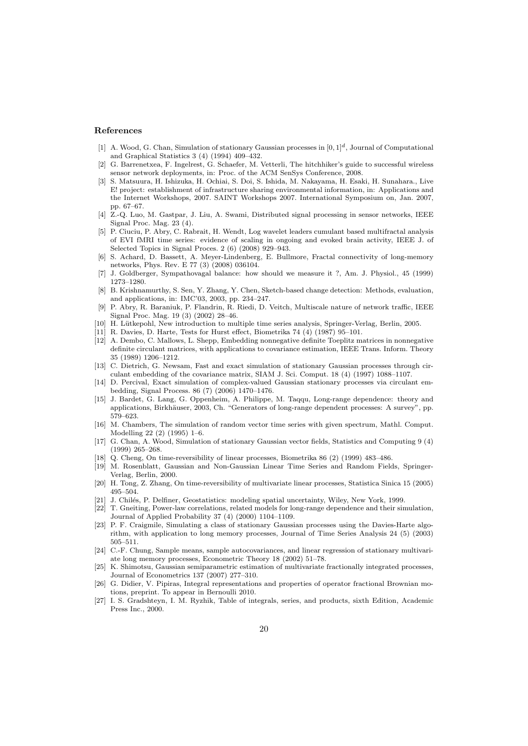#### References

- [1] A. Wood, G. Chan, Simulation of stationary Gaussian processes in [0*,* 1]*d*, Journal of Computational and Graphical Statistics 3 (4) (1994) 409–432.
- [2] G. Barrenetxea, F. Ingelrest, G. Schaefer, M. Vetterli, The hitchhiker's guide to successful wireless sensor network deployments, in: Proc. of the ACM SenSys Conference, 2008.
- [3] S. Matsuura, H. Ishizuka, H. Ochiai, S. Doi, S. Ishida, M. Nakayama, H. Esaki, H. Sunahara., Live E! project: establishment of infrastructure sharing environmental information, in: Applications and the Internet Workshops, 2007. SAINT Workshops 2007. International Symposium on, Jan. 2007, pp. 67–67.
- [4] Z.-Q. Luo, M. Gastpar, J. Liu, A. Swami, Distributed signal processing in sensor networks, IEEE Signal Proc. Mag. 23 (4).
- [5] P. Ciuciu, P. Abry, C. Rabrait, H. Wendt, Log wavelet leaders cumulant based multifractal analysis of EVI fMRI time series: evidence of scaling in ongoing and evoked brain activity, IEEE J. of Selected Topics in Signal Proces. 2 (6) (2008) 929–943.
- [6] S. Achard, D. Bassett, A. Meyer-Lindenberg, E. Bullmore, Fractal connectivity of long-memory networks, Phys. Rev. E 77 (3) (2008) 036104.
- [7] J. Goldberger, Sympathovagal balance: how should we measure it ?, Am. J. Physiol., 45 (1999) 1273–1280.
- [8] B. Krishnamurthy, S. Sen, Y. Zhang, Y. Chen, Sketch-based change detection: Methods, evaluation, and applications, in: IMC'03, 2003, pp. 234–247.
- [9] P. Abry, R. Baraniuk, P. Flandrin, R. Riedi, D. Veitch, Multiscale nature of network traffic, IEEE Signal Proc. Mag. 19 (3) (2002) 28–46.
- [10] H. Lütkepohl, New introduction to multiple time series analysis, Springer-Verlag, Berlin, 2005.
- [11] R. Davies, D. Harte, Tests for Hurst effect, Biometrika 74 (4) (1987) 95–101.
- [12] A. Dembo, C. Mallows, L. Shepp, Embedding nonnegative definite Toeplitz matrices in nonnegative definite circulant matrices, with applications to covariance estimation, IEEE Trans. Inform. Theory 35 (1989) 1206–1212.
- [13] C. Dietrich, G. Newsam, Fast and exact simulation of stationary Gaussian processes through circulant embedding of the covariance matrix, SIAM J. Sci. Comput. 18 (4) (1997) 1088–1107.
- [14] D. Percival, Exact simulation of complex-valued Gaussian stationary processes via circulant embedding, Signal Process. 86 (7) (2006) 1470–1476.
- [15] J. Bardet, G. Lang, G. Oppenheim, A. Philippe, M. Taqqu, Long-range dependence: theory and applications, Birkhäuser, 2003, Ch. "Generators of long-range dependent processes: A survey", pp. 579–623.
- [16] M. Chambers, The simulation of random vector time series with given spectrum, Mathl. Comput. Modelling 22 (2) (1995) 1–6.
- [17] G. Chan, A. Wood, Simulation of stationary Gaussian vector fields, Statistics and Computing 9 (4) (1999) 265–268.
- [18] Q. Cheng, On time-reversibility of linear processes, Biometrika 86 (2) (1999) 483–486.
- [19] M. Rosenblatt, Gaussian and Non-Gaussian Linear Time Series and Random Fields, Springer-Verlag, Berlin, 2000.
- [20] H. Tong, Z. Zhang, On time-reversibility of multivariate linear processes, Statistica Sinica 15 (2005) 495–504.
- [21] J. Chilés, P. Delfiner, Geostatistics: modeling spatial uncertainty, Wiley, New York, 1999.
- [22] T. Gneiting, Power-law correlations, related models for long-range dependence and their simulation, Journal of Applied Probability 37 (4) (2000) 1104–1109.
- [23] P. F. Craigmile, Simulating a class of stationary Gaussian processes using the Davies-Harte algorithm, with application to long memory processes, Journal of Time Series Analysis 24 (5) (2003) 505–511.
- [24] C.-F. Chung, Sample means, sample autocovariances, and linear regression of stationary multivariate long memory processes, Econometric Theory 18 (2002) 51–78.
- [25] K. Shimotsu, Gaussian semiparametric estimation of multivariate fractionally integrated processes, Journal of Econometrics 137 (2007) 277–310.
- [26] G. Didier, V. Pipiras, Integral representations and properties of operator fractional Brownian motions, preprint. To appear in Bernoulli 2010.
- [27] I. S. Gradshteyn, I. M. Ryzhik, Table of integrals, series, and products, sixth Edition, Academic Press Inc., 2000.